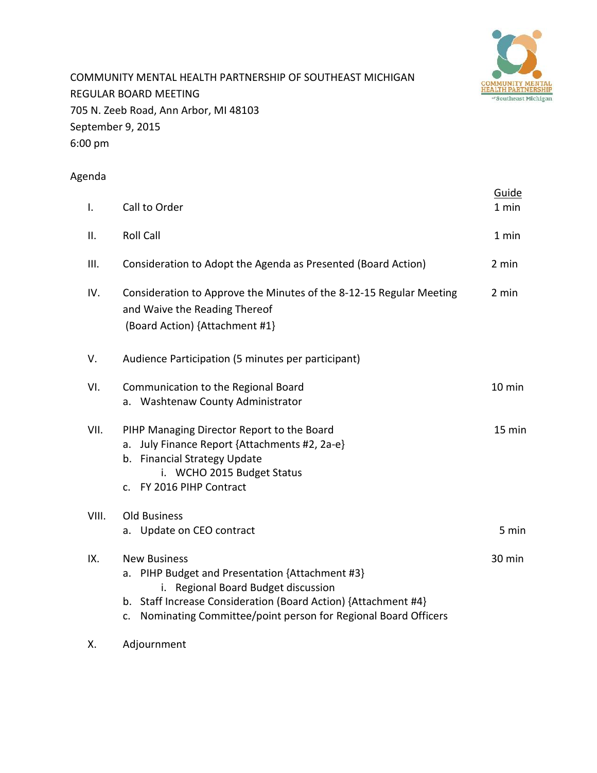

COMMUNITY MENTAL HEALTH PARTNERSHIP OF SOUTHEAST MICHIGAN REGULAR BOARD MEETING 705 N. Zeeb Road, Ann Arbor, MI 48103 September 9, 2015 6:00 pm

# Agenda

| I.    | Call to Order                                                                                                                                                                                                                                          | Guide<br>1 min |
|-------|--------------------------------------------------------------------------------------------------------------------------------------------------------------------------------------------------------------------------------------------------------|----------------|
| ΙΙ.   | <b>Roll Call</b>                                                                                                                                                                                                                                       | 1 min          |
| III.  | Consideration to Adopt the Agenda as Presented (Board Action)                                                                                                                                                                                          | 2 min          |
| IV.   | Consideration to Approve the Minutes of the 8-12-15 Regular Meeting<br>and Waive the Reading Thereof<br>(Board Action) {Attachment #1}                                                                                                                 | 2 min          |
| V.    | Audience Participation (5 minutes per participant)                                                                                                                                                                                                     |                |
| VI.   | Communication to the Regional Board<br>a. Washtenaw County Administrator                                                                                                                                                                               | 10 min         |
| VII.  | PIHP Managing Director Report to the Board<br>July Finance Report {Attachments #2, 2a-e}<br>a.<br>b. Financial Strategy Update<br>i. WCHO 2015 Budget Status<br>c. FY 2016 PIHP Contract                                                               | 15 min         |
| VIII. | <b>Old Business</b><br>a. Update on CEO contract                                                                                                                                                                                                       | 5 min          |
| IX.   | <b>New Business</b><br>a. PIHP Budget and Presentation {Attachment #3}<br>i. Regional Board Budget discussion<br>b. Staff Increase Consideration (Board Action) {Attachment #4}<br>Nominating Committee/point person for Regional Board Officers<br>c. | 30 min         |

X. Adjournment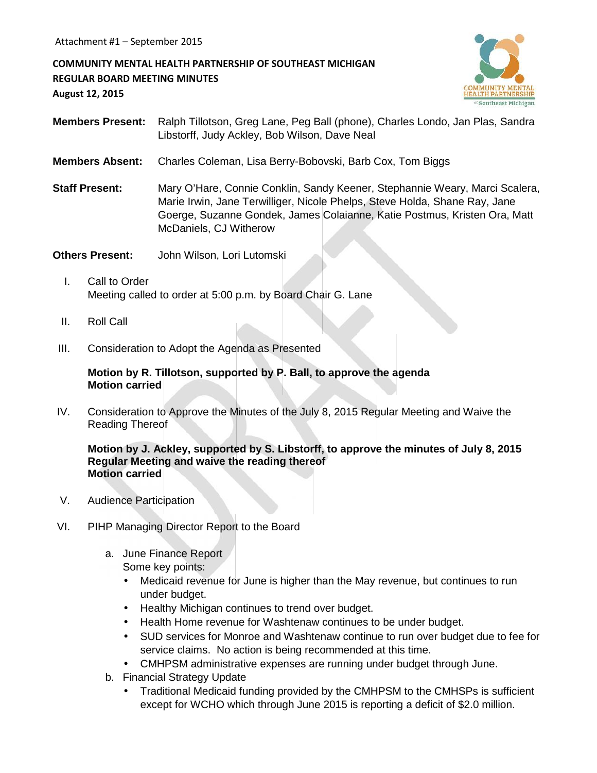**COMMUNITY MENTAL HEALTH PARTNERSHIP OF SOUTHEAST MICHIGAN REGULAR BOARD MEETING MINUTES August 12, 2015**



- **Members Present:** Ralph Tillotson, Greg Lane, Peg Ball (phone), Charles Londo, Jan Plas, Sandra Libstorff, Judy Ackley, Bob Wilson, Dave Neal
- **Members Absent:** Charles Coleman, Lisa Berry-Bobovski, Barb Cox, Tom Biggs
- **Staff Present:** Mary O'Hare, Connie Conklin, Sandy Keener, Stephannie Weary, Marci Scalera, Marie Irwin, Jane Terwilliger, Nicole Phelps, Steve Holda, Shane Ray, Jane Goerge, Suzanne Gondek, James Colaianne, Katie Postmus, Kristen Ora, Matt McDaniels, CJ Witherow

**Others Present:** John Wilson, Lori Lutomski

- I. Call to Order Meeting called to order at 5:00 p.m. by Board Chair G. Lane
- II. Roll Call
- III. Consideration to Adopt the Agenda as Presented

### **Motion by R. Tillotson, supported by P. Ball, to approve the agenda Motion carried**

IV. Consideration to Approve the Minutes of the July 8, 2015 Regular Meeting and Waive the Reading Thereof

#### **Motion by J. Ackley, supported by S. Libstorff, to approve the minutes of July 8, 2015 Regular Meeting and waive the reading thereof Motion carried**

- V. Audience Participation
- VI. PIHP Managing Director Report to the Board
	- a. June Finance Report

Some key points:

- Medicaid revenue for June is higher than the May revenue, but continues to run under budget.
- Healthy Michigan continues to trend over budget.
- Health Home revenue for Washtenaw continues to be under budget.
- SUD services for Monroe and Washtenaw continue to run over budget due to fee for service claims. No action is being recommended at this time.
- CMHPSM administrative expenses are running under budget through June.
- b. Financial Strategy Update
	- Traditional Medicaid funding provided by the CMHPSM to the CMHSPs is sufficient except for WCHO which through June 2015 is reporting a deficit of \$2.0 million.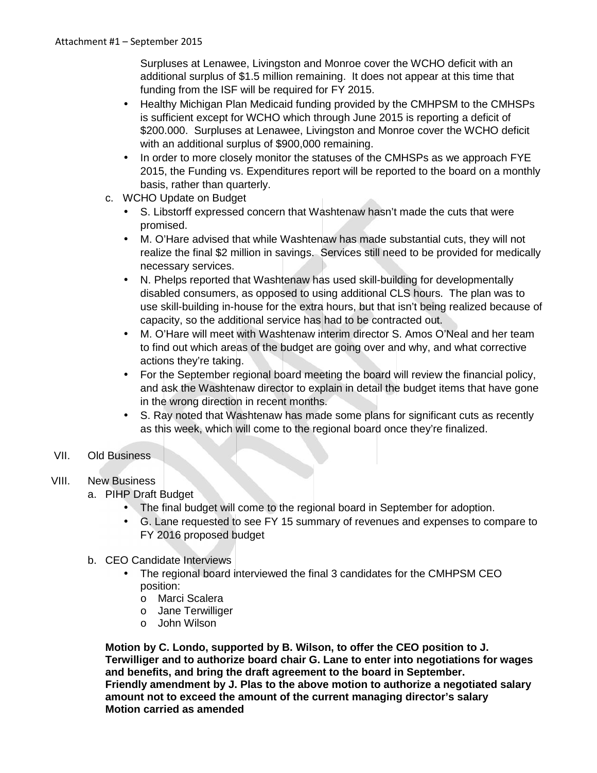Surpluses at Lenawee, Livingston and Monroe cover the WCHO deficit with an additional surplus of \$1.5 million remaining. It does not appear at this time that funding from the ISF will be required for FY 2015.

- Healthy Michigan Plan Medicaid funding provided by the CMHPSM to the CMHSPs is sufficient except for WCHO which through June 2015 is reporting a deficit of \$200.000. Surpluses at Lenawee, Livingston and Monroe cover the WCHO deficit with an additional surplus of \$900,000 remaining.
- In order to more closely monitor the statuses of the CMHSPs as we approach FYE 2015, the Funding vs. Expenditures report will be reported to the board on a monthly basis, rather than quarterly.
- c. WCHO Update on Budget
	- S. Libstorff expressed concern that Washtenaw hasn't made the cuts that were promised.
	- M. O'Hare advised that while Washtenaw has made substantial cuts, they will not realize the final \$2 million in savings. Services still need to be provided for medically necessary services.
	- N. Phelps reported that Washtenaw has used skill-building for developmentally disabled consumers, as opposed to using additional CLS hours. The plan was to use skill-building in-house for the extra hours, but that isn't being realized because of capacity, so the additional service has had to be contracted out.
	- M. O'Hare will meet with Washtenaw interim director S. Amos O'Neal and her team to find out which areas of the budget are going over and why, and what corrective actions they're taking.
	- For the September regional board meeting the board will review the financial policy, and ask the Washtenaw director to explain in detail the budget items that have gone in the wrong direction in recent months.
	- S. Ray noted that Washtenaw has made some plans for significant cuts as recently as this week, which will come to the regional board once they're finalized.

# VII. Old Business

# VIII. New Business

- a. PIHP Draft Budget
	- The final budget will come to the regional board in September for adoption.
	- G. Lane requested to see FY 15 summary of revenues and expenses to compare to FY 2016 proposed budget
- b. CEO Candidate Interviews
	- The regional board interviewed the final 3 candidates for the CMHPSM CEO position:
		- o Marci Scalera
		- o Jane Terwilliger
		- o John Wilson

**Motion by C. Londo, supported by B. Wilson, to offer the CEO position to J. Terwilliger and to authorize board chair G. Lane to enter into negotiations for wages and benefits, and bring the draft agreement to the board in September. Friendly amendment by J. Plas to the above motion to authorize a negotiated salary amount not to exceed the amount of the current managing director's salary Motion carried as amended**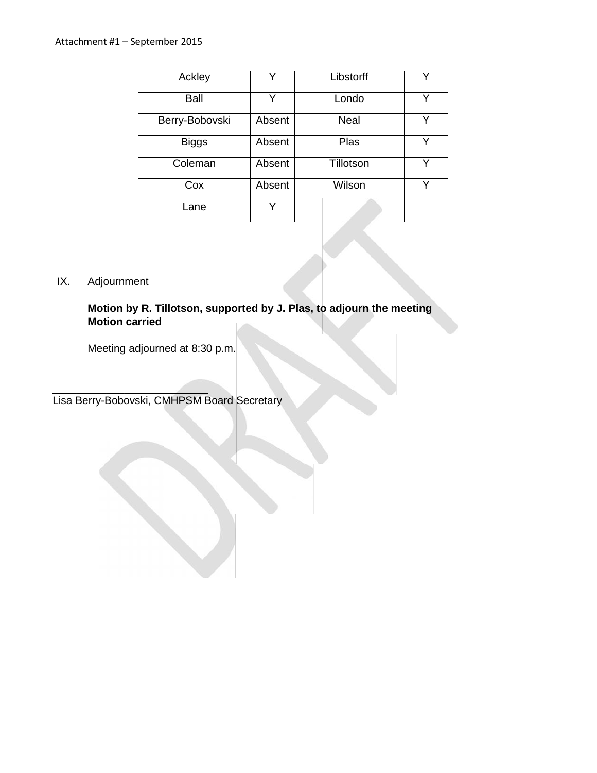| Ackley         | v      | Libstorff | ∨ |
|----------------|--------|-----------|---|
| Ball           | Y      | Londo     | v |
| Berry-Bobovski | Absent | Neal      | v |
| <b>Biggs</b>   | Absent | Plas      | Y |
| Coleman        | Absent | Tillotson | ν |
| Cox            | Absent | Wilson    |   |
| _ane           | v      |           |   |

# IX. Adjournment

# **Motion by R. Tillotson, supported by J. Plas, to adjourn the meeting Motion carried**

Meeting adjourned at 8:30 p.m.

 $\frac{1}{2}$  ,  $\frac{1}{2}$  ,  $\frac{1}{2}$  ,  $\frac{1}{2}$  ,  $\frac{1}{2}$  ,  $\frac{1}{2}$  ,  $\frac{1}{2}$  ,  $\frac{1}{2}$  ,  $\frac{1}{2}$  ,  $\frac{1}{2}$  ,  $\frac{1}{2}$  ,  $\frac{1}{2}$  ,  $\frac{1}{2}$  ,  $\frac{1}{2}$  ,  $\frac{1}{2}$  ,  $\frac{1}{2}$  ,  $\frac{1}{2}$  ,  $\frac{1}{2}$  ,  $\frac{1$ Lisa Berry-Bobovski, CMHPSM Board Secretary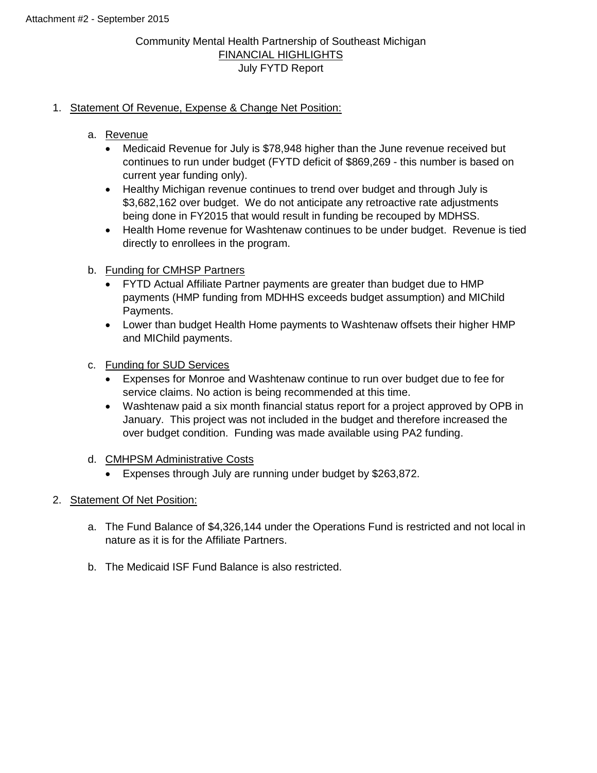## Community Mental Health Partnership of Southeast Michigan FINANCIAL HIGHLIGHTS July FYTD Report

## 1. Statement Of Revenue, Expense & Change Net Position:

- a. Revenue
	- Medicaid Revenue for July is \$78,948 higher than the June revenue received but continues to run under budget (FYTD deficit of \$869,269 - this number is based on current year funding only).
	- Healthy Michigan revenue continues to trend over budget and through July is \$3,682,162 over budget. We do not anticipate any retroactive rate adjustments being done in FY2015 that would result in funding be recouped by MDHSS.
	- Health Home revenue for Washtenaw continues to be under budget. Revenue is tied directly to enrollees in the program.
- b. Funding for CMHSP Partners
	- FYTD Actual Affiliate Partner payments are greater than budget due to HMP payments (HMP funding from MDHHS exceeds budget assumption) and MIChild Payments.
	- Lower than budget Health Home payments to Washtenaw offsets their higher HMP and MIChild payments.
- c. Funding for SUD Services
	- Expenses for Monroe and Washtenaw continue to run over budget due to fee for service claims. No action is being recommended at this time.
	- Washtenaw paid a six month financial status report for a project approved by OPB in January. This project was not included in the budget and therefore increased the over budget condition. Funding was made available using PA2 funding.
- d. CMHPSM Administrative Costs
	- Expenses through July are running under budget by \$263,872.
- 2. Statement Of Net Position:
	- a. The Fund Balance of \$4,326,144 under the Operations Fund is restricted and not local in nature as it is for the Affiliate Partners.
	- b. The Medicaid ISF Fund Balance is also restricted.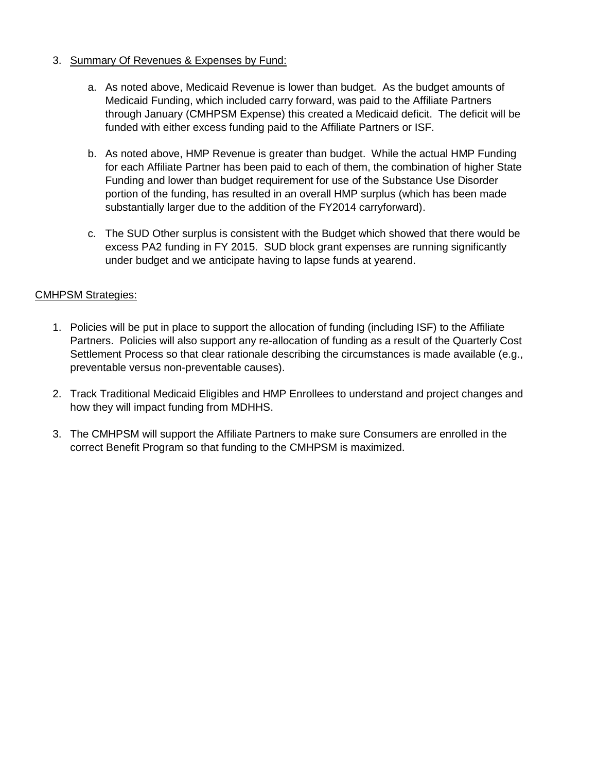## 3. Summary Of Revenues & Expenses by Fund:

- a. As noted above, Medicaid Revenue is lower than budget. As the budget amounts of Medicaid Funding, which included carry forward, was paid to the Affiliate Partners through January (CMHPSM Expense) this created a Medicaid deficit. The deficit will be funded with either excess funding paid to the Affiliate Partners or ISF.
- b. As noted above, HMP Revenue is greater than budget. While the actual HMP Funding for each Affiliate Partner has been paid to each of them, the combination of higher State Funding and lower than budget requirement for use of the Substance Use Disorder portion of the funding, has resulted in an overall HMP surplus (which has been made substantially larger due to the addition of the FY2014 carryforward).
- c. The SUD Other surplus is consistent with the Budget which showed that there would be excess PA2 funding in FY 2015. SUD block grant expenses are running significantly under budget and we anticipate having to lapse funds at yearend.

## CMHPSM Strategies:

- 1. Policies will be put in place to support the allocation of funding (including ISF) to the Affiliate Partners. Policies will also support any re-allocation of funding as a result of the Quarterly Cost Settlement Process so that clear rationale describing the circumstances is made available (e.g., preventable versus non-preventable causes).
- 2. Track Traditional Medicaid Eligibles and HMP Enrollees to understand and project changes and how they will impact funding from MDHHS.
- 3. The CMHPSM will support the Affiliate Partners to make sure Consumers are enrolled in the correct Benefit Program so that funding to the CMHPSM is maximized.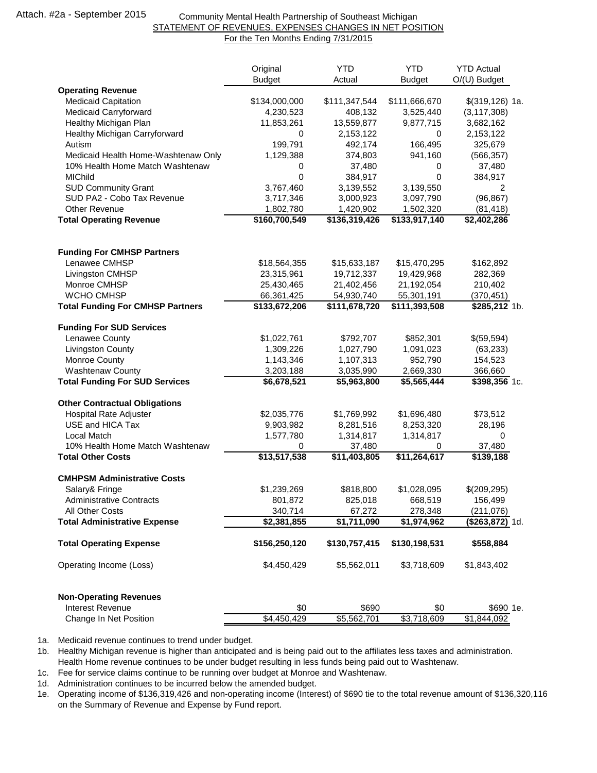#### Community Mental Health Partnership of Southeast Michigan STATEMENT OF REVENUES, EXPENSES CHANGES IN NET POSITION For the Ten Months Ending 7/31/2015

|                                                 | Original<br><b>Budget</b>  | <b>YTD</b><br>Actual       | <b>YTD</b><br><b>Budget</b> | <b>YTD Actual</b><br>O/(U) Budget |
|-------------------------------------------------|----------------------------|----------------------------|-----------------------------|-----------------------------------|
| <b>Operating Revenue</b>                        |                            |                            |                             |                                   |
| <b>Medicaid Capitation</b>                      | \$134,000,000              | \$111,347,544              | \$111,666,670               | $$(319, 126)$ 1a.                 |
| Medicaid Carryforward                           | 4,230,523                  | 408,132                    | 3,525,440                   | (3, 117, 308)                     |
| Healthy Michigan Plan                           | 11,853,261                 | 13,559,877                 | 9,877,715                   | 3,682,162                         |
| Healthy Michigan Carryforward                   | 0                          | 2,153,122                  | 0                           | 2,153,122                         |
| Autism                                          | 199,791                    | 492,174                    | 166,495                     | 325,679                           |
| Medicaid Health Home-Washtenaw Only             | 1,129,388                  | 374,803                    | 941,160                     | (566, 357)                        |
| 10% Health Home Match Washtenaw                 | 0                          | 37,480                     | 0                           | 37,480                            |
| <b>MIChild</b>                                  | 0                          | 384,917                    | $\mathbf 0$                 | 384,917                           |
| <b>SUD Community Grant</b>                      | 3,767,460                  | 3,139,552                  | 3,139,550                   | 2                                 |
| SUD PA2 - Cobo Tax Revenue                      | 3,717,346                  | 3,000,923                  | 3,097,790                   | (96, 867)                         |
| Other Revenue<br><b>Total Operating Revenue</b> | 1,802,780<br>\$160,700,549 | 1,420,902<br>\$136,319,426 | 1,502,320<br>\$133,917,140  | (81, 418)<br>\$2,402,286          |
|                                                 |                            |                            |                             |                                   |
| <b>Funding For CMHSP Partners</b>               |                            |                            |                             |                                   |
| Lenawee CMHSP                                   | \$18,564,355               | \$15,633,187               | \$15,470,295                | \$162,892                         |
| Livingston CMHSP                                | 23,315,961                 | 19,712,337                 | 19,429,968                  | 282,369                           |
| Monroe CMHSP                                    | 25,430,465                 | 21,402,456                 | 21,192,054                  | 210,402                           |
| WCHO CMHSP                                      | 66,361,425                 | 54,930,740                 | 55,301,191                  | (370, 451)                        |
| <b>Total Funding For CMHSP Partners</b>         | \$133,672,206              | \$111,678,720              | \$111,393,508               | \$285,212 1b.                     |
| <b>Funding For SUD Services</b>                 |                            |                            |                             |                                   |
| Lenawee County                                  | \$1,022,761                | \$792,707                  | \$852,301                   | \$(59,594)                        |
| <b>Livingston County</b>                        | 1,309,226                  | 1,027,790                  | 1,091,023                   | (63, 233)                         |
| Monroe County                                   | 1,143,346                  | 1,107,313                  | 952,790                     | 154,523                           |
| <b>Washtenaw County</b>                         | 3,203,188                  | 3,035,990                  | 2,669,330                   | 366,660                           |
| <b>Total Funding For SUD Services</b>           | \$6,678,521                | \$5,963,800                | \$5,565,444                 | \$398,356 1c.                     |
| <b>Other Contractual Obligations</b>            |                            |                            |                             |                                   |
| <b>Hospital Rate Adjuster</b>                   | \$2,035,776                | \$1,769,992                | \$1,696,480                 | \$73,512                          |
| USE and HICA Tax                                | 9,903,982                  | 8,281,516                  | 8,253,320                   | 28,196                            |
| Local Match                                     | 1,577,780                  | 1,314,817                  | 1,314,817                   | 0                                 |
| 10% Health Home Match Washtenaw                 | 0                          | 37,480                     | 0                           | 37,480                            |
| <b>Total Other Costs</b>                        | \$13,517,538               | \$11,403,805               | \$11,264,617                | $\overline{$}139,188$             |
| <b>CMHPSM Administrative Costs</b>              |                            |                            |                             |                                   |
| Salary& Fringe                                  | \$1,239,269                | \$818,800                  | \$1,028,095                 | \$(209, 295)                      |
| <b>Administrative Contracts</b>                 | 801,872                    | 825,018                    | 668,519                     | 156,499                           |
| <b>All Other Costs</b>                          | 340,714                    | 67,272                     | 278,348                     | (211, 076)                        |
| <b>Total Administrative Expense</b>             | \$2,381,855                | \$1,711,090                | \$1,974,962                 | <b>(\$263,872)</b> 1d.            |
| <b>Total Operating Expense</b>                  | \$156,250,120              | \$130,757,415              | \$130,198,531               | \$558,884                         |
| Operating Income (Loss)                         | \$4,450,429                | \$5,562,011                | \$3,718,609                 | \$1,843,402                       |
| <b>Non-Operating Revenues</b>                   |                            |                            |                             |                                   |
| Interest Revenue                                | \$0                        | \$690                      | \$0                         | \$690 1e.                         |
| Change In Net Position                          | \$4,450,429                | \$5,562,701                | \$3,718,609                 | \$1,844,092                       |

1a. Medicaid revenue continues to trend under budget.

1b. Healthy Michigan revenue is higher than anticipated and is being paid out to the affiliates less taxes and administration. Health Home revenue continues to be under budget resulting in less funds being paid out to Washtenaw.

1c. Fee for service claims continue to be running over budget at Monroe and Washtenaw.

1d. Administration continues to be incurred below the amended budget.

1e. Operating income of \$136,319,426 and non-operating income (Interest) of \$690 tie to the total revenue amount of \$136,320,116 on the Summary of Revenue and Expense by Fund report.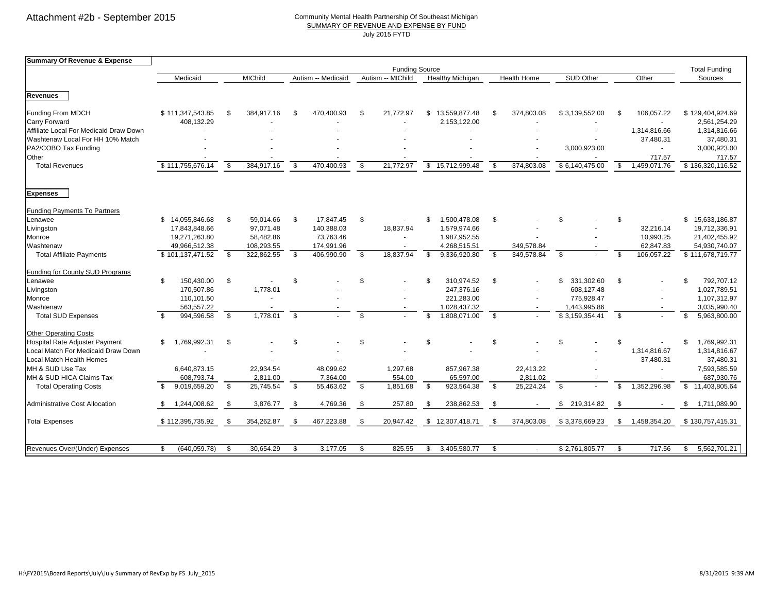#### Community Mental Health Partnership Of Southeast Michigan SUMMARY OF REVENUE AND EXPENSE BY FUND July 2015 FYTD

| Summary Of Revenue & Expense           |                     |                |            |                                         |            |      |                         |                       |                    |     |                          |                          |                |              |                      |
|----------------------------------------|---------------------|----------------|------------|-----------------------------------------|------------|------|-------------------------|-----------------------|--------------------|-----|--------------------------|--------------------------|----------------|--------------|----------------------|
|                                        |                     |                |            |                                         |            |      |                         | <b>Funding Source</b> |                    |     |                          |                          |                |              | <b>Total Funding</b> |
|                                        | Medicaid            | <b>MIChild</b> |            | Autism -- Medicaid<br>Autism -- MIChild |            |      | <b>Healthy Michigan</b> |                       | <b>Health Home</b> |     | <b>SUD Other</b>         | Other                    |                | Sources      |                      |
|                                        |                     |                |            |                                         |            |      |                         |                       |                    |     |                          |                          |                |              |                      |
| <b>Revenues</b>                        |                     |                |            |                                         |            |      |                         |                       |                    |     |                          |                          |                |              |                      |
| Funding From MDCH                      | \$111,347,543.85    | \$.            | 384.917.16 | \$                                      | 470,400.93 | \$   | 21.772.97               | \$.                   | 13.559.877.48      | £.  | 374,803.08               | \$3,139,552.00           |                | 106.057.22   | \$129,404,924.69     |
| <b>Carry Forward</b>                   | 408,132.29          |                |            |                                         |            |      |                         |                       | 2,153,122.00       |     |                          |                          |                |              | 2,561,254.29         |
| Affiliate Local For Medicaid Draw Down |                     |                |            |                                         |            |      |                         |                       |                    |     |                          | $\overline{\phantom{a}}$ |                | 1,314,816.66 | 1,314,816.66         |
| Washtenaw Local For HH 10% Match       |                     |                |            |                                         |            |      |                         |                       |                    |     |                          |                          |                | 37,480.31    | 37,480.31            |
| PA2/COBO Tax Funding                   |                     |                |            |                                         |            |      |                         |                       |                    |     |                          | 3,000,923.00             |                | $\sim$       | 3,000,923.00         |
| Other                                  |                     |                |            |                                         |            |      |                         |                       |                    |     |                          |                          |                | 717.57       | 717.57               |
| <b>Total Revenues</b>                  | \$111,755,676.14    | - \$           | 384,917.16 | \$                                      | 470,400.93 | - \$ | 21,772.97               | \$                    | 15,712,999.48      | -9  | 374,803.08               | \$6,140,475.00           | -S             | 1,459,071.76 | \$136,320,116.52     |
|                                        |                     |                |            |                                         |            |      |                         |                       |                    |     |                          |                          |                |              |                      |
| <b>Expenses</b>                        |                     |                |            |                                         |            |      |                         |                       |                    |     |                          |                          |                |              |                      |
| <b>Funding Payments To Partners</b>    |                     |                |            |                                         |            |      |                         |                       |                    |     |                          |                          |                |              |                      |
| Lenawee                                | \$14,055,846.68     | \$             | 59,014.66  | \$                                      | 17,847.45  | - \$ |                         |                       | 1,500,478.08       | \$  |                          | \$                       | \$.            |              | \$15,633,186.87      |
| Livingston                             | 17,843,848.66       |                | 97,071.48  |                                         | 140,388.03 |      | 18,837.94               |                       | 1,579,974.66       |     |                          |                          |                | 32,216.14    | 19,712,336.91        |
| Monroe                                 | 19,271,263.80       |                | 58,482.86  |                                         | 73,763.46  |      |                         |                       | 1,987,952.55       |     |                          |                          |                | 10,993.25    | 21,402,455.92        |
| Washtenaw                              | 49,966,512.38       |                | 108,293.55 |                                         | 174,991.96 |      |                         |                       | 4,268,515.51       |     | 349,578.84               |                          |                | 62,847.83    | 54,930,740.07        |
| <b>Total Affiliate Payments</b>        | \$101,137,471.52    | - \$           | 322,862.55 | - \$                                    | 406,990.90 | \$   | 18,837.94               | \$                    | 9,336,920.80       | \$  | 349,578.84               | \$                       | $\mathfrak{L}$ | 106,057.22   | \$111,678,719.77     |
| Funding for County SUD Programs        |                     |                |            |                                         |            |      |                         |                       |                    |     |                          |                          |                |              |                      |
| Lenawee                                | \$<br>150,430.00    | \$             |            | <sup>\$</sup>                           |            | \$   |                         |                       | 310,974.52         | -\$ |                          | \$<br>331,302.60         | - \$           |              | 792,707.12<br>\$     |
| Livingston                             | 170,507.86          |                | 1,778.01   |                                         |            |      |                         |                       | 247,376.16         |     |                          | 608,127.48               |                |              | 1,027,789.51         |
| Monroe                                 | 110,101.50          |                |            |                                         |            |      |                         |                       | 221,283.00         |     |                          | 775,928.47               |                |              | 1,107,312.97         |
| Washtenaw                              | 563,557.22          |                |            |                                         |            |      |                         |                       | 1,028,437.32       |     | $\overline{\phantom{a}}$ | 1,443,995.86             |                |              | 3,035,990.40         |
| <b>Total SUD Expenses</b>              | 994,596.58<br>\$.   | \$             | 1,778.01   | \$                                      |            | \$   |                         | \$.                   | 1,808,071.00       | \$  |                          | \$3,159,354.41           | \$.            |              | 5,963,800.00<br>\$   |
| <b>Other Operating Costs</b>           |                     |                |            |                                         |            |      |                         |                       |                    |     |                          |                          |                |              |                      |
| Hospital Rate Adjuster Payment         | \$<br>1,769,992.31  | \$             |            | \$                                      |            | \$   |                         | <b>.ε</b>             |                    | \$  |                          | \$                       | \$             |              | \$.<br>1,769,992.31  |
| Local Match For Medicaid Draw Down     |                     |                |            |                                         |            |      |                         |                       |                    |     |                          |                          |                | 1,314,816.67 | 1,314,816.67         |
| Local Match Health Homes               |                     |                |            |                                         |            |      |                         |                       |                    |     |                          |                          |                | 37,480.31    | 37,480.31            |
| MH & SUD Use Tax                       | 6,640,873.15        |                | 22,934.54  |                                         | 48,099.62  |      | 1,297.68                |                       | 857,967.38         |     | 22,413.22                |                          |                |              | 7,593,585.59         |
| MH & SUD HICA Claims Tax               | 608,793.74          |                | 2,811.00   |                                         | 7,364.00   |      | 554.00                  |                       | 65,597.00          |     | 2,811.02                 |                          |                |              | 687,930.76           |
| <b>Total Operating Costs</b>           | 9,019,659.20<br>\$  | \$             | 25,745.54  | \$                                      | 55,463.62  | \$   | 1,851.68                | $\mathfrak{s}$        | 923,564.38         | \$  | 25,224.24                | \$                       | £.             | 1,352,296.98 | \$11,403,805.64      |
| Administrative Cost Allocation         | 1,244,008.62<br>\$  | -\$            | 3,876.77   | -\$                                     | 4,769.36   | \$   | 257.80                  | - \$                  | 238,862.53         | \$  |                          | \$ 219,314.82            | -\$            |              | 1,711,089.90<br>\$   |
| <b>Total Expenses</b>                  | \$112,395,735.92    | S.             | 354,262.87 | \$                                      | 467,223.88 | \$   | 20,947.42               |                       | \$12,307,418.71    | \$  | 374,803.08               | \$3,378,669.23           | \$             | 1,458,354.20 | \$130,757,415.31     |
|                                        |                     |                |            |                                         |            |      |                         |                       |                    |     |                          |                          |                |              |                      |
| Revenues Over/(Under) Expenses         | (640, 059.78)<br>\$ | \$             | 30,654.29  | \$                                      | 3,177.05   | \$   | 825.55                  | - \$                  | 3,405,580.77       | \$  | $\sim$                   | \$2,761,805.77           | \$             | 717.56       | 5,562,701.21<br>\$   |
|                                        |                     |                |            |                                         |            |      |                         |                       |                    |     |                          |                          |                |              |                      |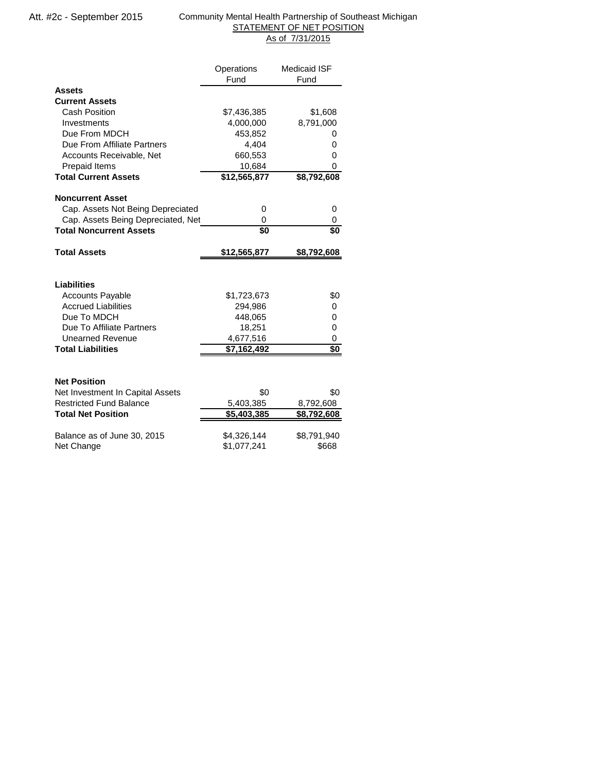#### Community Mental Health Partnership of Southeast Michigan STATEMENT OF NET POSITION As of 7/31/2015

|                                    | Operations   | <b>Medicaid ISF</b> |
|------------------------------------|--------------|---------------------|
|                                    | Fund         | Fund                |
| Assets                             |              |                     |
| <b>Current Assets</b>              |              |                     |
| <b>Cash Position</b>               | \$7,436,385  | \$1,608             |
| Investments                        | 4,000,000    | 8,791,000           |
| Due From MDCH                      | 453,852      | 0                   |
| Due From Affiliate Partners        | 4,404        | 0                   |
| Accounts Receivable, Net           | 660,553      | 0                   |
| <b>Prepaid Items</b>               | 10,684       | 0                   |
| <b>Total Current Assets</b>        | \$12,565,877 | \$8,792,608         |
|                                    |              |                     |
| Noncurrent Asset                   |              |                     |
| Cap. Assets Not Being Depreciated  | 0            | 0                   |
| Cap. Assets Being Depreciated, Net | $\Omega$     | 0                   |
| <b>Total Noncurrent Assets</b>     | \$0          | \$0                 |
| <b>Total Assets</b>                | \$12,565,877 | \$8,792,608         |
|                                    |              |                     |
| <b>Liabilities</b>                 |              |                     |
| Accounts Payable                   | \$1,723,673  | \$0                 |
| <b>Accrued Liabilities</b>         | 294,986      | 0                   |
| Due To MDCH                        | 448,065      | 0                   |
| Due To Affiliate Partners          | 18,251       | 0                   |
| <b>Unearned Revenue</b>            | 4,677,516    | 0                   |
| <b>Total Liabilities</b>           | \$7,162,492  | $\overline{50}$     |
|                                    |              |                     |
|                                    |              |                     |
|                                    |              |                     |
| Net Position                       |              |                     |
| Net Investment In Capital Assets   | \$0          | \$0                 |
| <b>Restricted Fund Balance</b>     | 5,403,385    | 8,792,608           |
| <b>Total Net Position</b>          | \$5,403,385  | \$8,792,608         |
| Balance as of June 30, 2015        | \$4,326,144  | \$8,791,940         |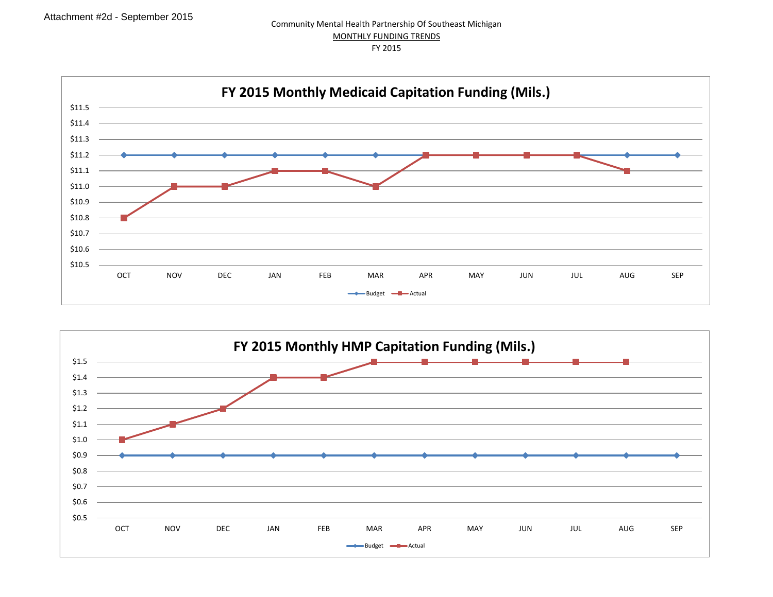

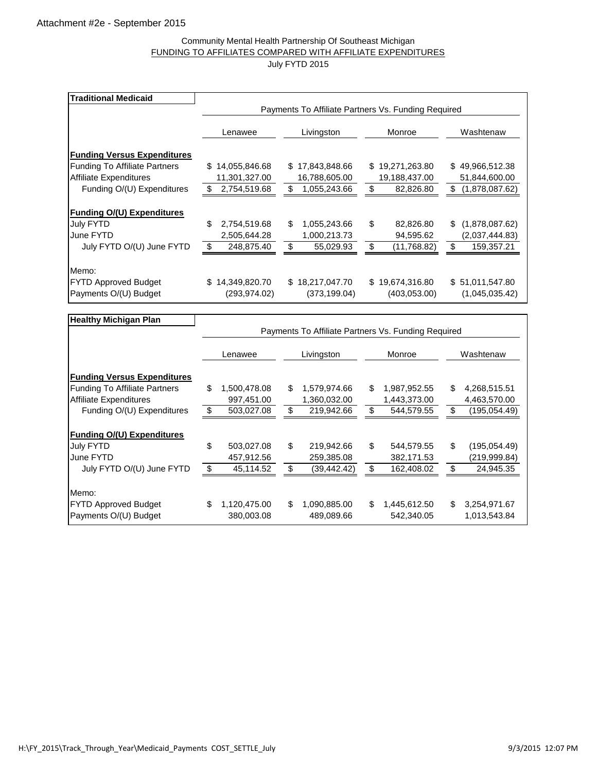#### Community Mental Health Partnership Of Southeast Michigan FUNDING TO AFFILIATES COMPARED WITH AFFILIATE EXPENDITURES July FYTD 2015

| <b>Traditional Medicaid</b>                                 |                                                     |                                    |                                 |                                        |  |  |  |  |  |  |
|-------------------------------------------------------------|-----------------------------------------------------|------------------------------------|---------------------------------|----------------------------------------|--|--|--|--|--|--|
|                                                             | Payments To Affiliate Partners Vs. Funding Required |                                    |                                 |                                        |  |  |  |  |  |  |
|                                                             | Lenawee                                             | Livingston                         | Monroe                          | Washtenaw                              |  |  |  |  |  |  |
| <b>Funding Versus Expenditures</b>                          |                                                     |                                    |                                 |                                        |  |  |  |  |  |  |
| <b>Funding To Affiliate Partners</b>                        | 14,055,846.68<br>S.                                 | 17,843,848.66<br>S.                | \$19,271,263.80                 | \$49,966,512.38                        |  |  |  |  |  |  |
| <b>Affiliate Expenditures</b>                               | 11,301,327.00                                       | 16,788,605.00                      | 19,188,437.00                   | 51,844,600.00                          |  |  |  |  |  |  |
| Funding O/(U) Expenditures                                  | \$<br>2,754,519.68                                  | \$<br>1,055,243.66                 | \$<br>82,826.80                 | \$<br>(1,878,087.62)                   |  |  |  |  |  |  |
| <b>Funding O/(U) Expenditures</b><br>July FYTD<br>June FYTD | \$<br>2,754,519.68<br>2,505,644.28                  | \$<br>1,055,243.66<br>1,000,213.73 | \$<br>82,826.80<br>94,595.62    | \$<br>(1,878,087.62)<br>(2,037,444.83) |  |  |  |  |  |  |
| July FYTD O/(U) June FYTD                                   | \$<br>248,875.40                                    | \$<br>55,029.93                    | \$<br>(11,768.82)               | \$<br>159,357.21                       |  |  |  |  |  |  |
| Memo:                                                       |                                                     |                                    |                                 |                                        |  |  |  |  |  |  |
| <b>FYTD Approved Budget</b><br>Payments O/(U) Budget        | 14,349,820.70<br>\$.<br>(293, 974.02)               | \$18,217,047.70<br>(373, 199.04)   | \$19,674,316.80<br>(403,053.00) | \$ 51,011,547.80<br>(1,045,035.42)     |  |  |  |  |  |  |

| <b>Healthy Michigan Plan</b>         |    |              |    |                                                     |    |              |    |               |  |  |  |  |
|--------------------------------------|----|--------------|----|-----------------------------------------------------|----|--------------|----|---------------|--|--|--|--|
|                                      |    |              |    | Payments To Affiliate Partners Vs. Funding Required |    |              |    |               |  |  |  |  |
|                                      |    | Lenawee      |    | Livingston                                          |    | Monroe       |    | Washtenaw     |  |  |  |  |
| <b>Funding Versus Expenditures</b>   |    |              |    |                                                     |    |              |    |               |  |  |  |  |
| <b>Funding To Affiliate Partners</b> | \$ | 1,500,478.08 | \$ | 1,579,974.66                                        | \$ | 1,987,952.55 | \$ | 4,268,515.51  |  |  |  |  |
| <b>Affiliate Expenditures</b>        |    | 997,451.00   |    | 1,360,032.00                                        |    | 1,443,373.00 |    | 4,463,570.00  |  |  |  |  |
| Funding O/(U) Expenditures           | \$ | 503,027.08   | \$ | 219,942.66                                          | \$ | 544,579.55   | \$ | (195, 054.49) |  |  |  |  |
| <b>Funding O/(U) Expenditures</b>    |    |              |    |                                                     |    |              |    |               |  |  |  |  |
| July FYTD                            | \$ | 503,027.08   | \$ | 219,942.66                                          | \$ | 544,579.55   | \$ | (195,054.49)  |  |  |  |  |
| June FYTD                            |    | 457,912.56   |    | 259,385.08                                          |    | 382,171.53   |    | (219,999.84)  |  |  |  |  |
| July FYTD O/(U) June FYTD            | \$ | 45,114.52    | \$ | (39,442.42)                                         | \$ | 162,408.02   | \$ | 24,945.35     |  |  |  |  |
| Memo:                                |    |              |    |                                                     |    |              |    |               |  |  |  |  |
| <b>FYTD Approved Budget</b>          | \$ | 1,120,475.00 | \$ | 1,090,885.00                                        | \$ | 1,445,612.50 | \$ | 3,254,971.67  |  |  |  |  |
| Payments O/(U) Budget                |    | 380,003.08   |    | 489,089.66                                          |    | 542,340.05   |    | 1,013,543.84  |  |  |  |  |